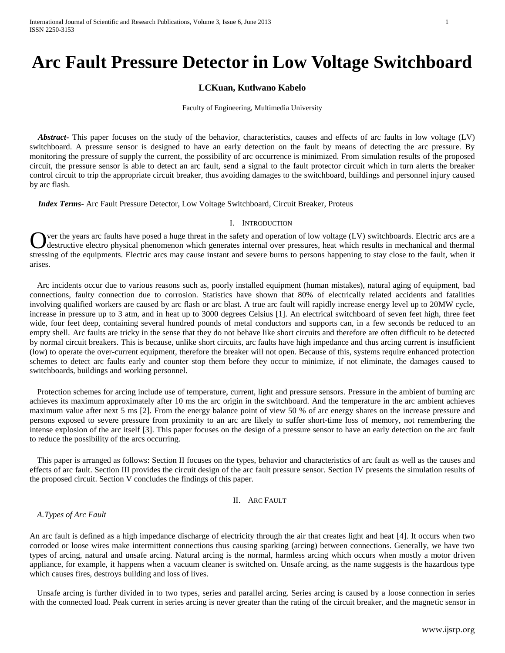# **Arc Fault Pressure Detector in Low Voltage Switchboard**

## **LCKuan, Kutlwano Kabelo**

Faculty of Engineering, Multimedia University

 *Abstract***-** This paper focuses on the study of the behavior, characteristics, causes and effects of arc faults in low voltage (LV) switchboard. A pressure sensor is designed to have an early detection on the fault by means of detecting the arc pressure. By monitoring the pressure of supply the current, the possibility of arc occurrence is minimized. From simulation results of the proposed circuit, the pressure sensor is able to detect an arc fault, send a signal to the fault protector circuit which in turn alerts the breaker control circuit to trip the appropriate circuit breaker, thus avoiding damages to the switchboard, buildings and personnel injury caused by arc flash.

 *Index Terms*- Arc Fault Pressure Detector, Low Voltage Switchboard, Circuit Breaker, Proteus

#### I. INTRODUCTION

ver the years arc faults have posed a huge threat in the safety and operation of low voltage (LV) switchboards. Electric arcs are a destructive electro physical phenomenon which generates internal over pressures, heat which results in mechanical and thermal Out the years arc faults have posed a huge threat in the safety and operation of low voltage (LV) switchboards. Electric arcs are a destructive electro physical phenomenon which generates internal over pressures, heat whic arises.

Arc incidents occur due to various reasons such as, poorly installed equipment (human mistakes), natural aging of equipment, bad connections, faulty connection due to corrosion. Statistics have shown that 80% of electrically related accidents and fatalities involving qualified workers are caused by arc flash or arc blast. A true arc fault will rapidly increase energy level up to 20MW cycle, increase in pressure up to 3 atm, and in heat up to 3000 degrees Celsius [1]. An electrical switchboard of seven feet high, three feet wide, four feet deep, containing several hundred pounds of metal conductors and supports can, in a few seconds be reduced to an empty shell. Arc faults are tricky in the sense that they do not behave like short circuits and therefore are often difficult to be detected by normal circuit breakers. This is because, unlike short circuits, arc faults have high impedance and thus arcing current is insufficient (low) to operate the over-current equipment, therefore the breaker will not open. Because of this, systems require enhanced protection schemes to detect arc faults early and counter stop them before they occur to minimize, if not eliminate, the damages caused to switchboards, buildings and working personnel.

Protection schemes for arcing include use of temperature, current, light and pressure sensors. Pressure in the ambient of burning arc achieves its maximum approximately after 10 ms the arc origin in the switchboard. And the temperature in the arc ambient achieves maximum value after next 5 ms [2]. From the energy balance point of view 50 % of arc energy shares on the increase pressure and persons exposed to severe pressure from proximity to an arc are likely to suffer short-time loss of memory, not remembering the intense explosion of the arc itself [3]. This paper focuses on the design of a pressure sensor to have an early detection on the arc fault to reduce the possibility of the arcs occurring.

This paper is arranged as follows: Section II focuses on the types, behavior and characteristics of arc fault as well as the causes and effects of arc fault. Section III provides the circuit design of the arc fault pressure sensor. Section IV presents the simulation results of the proposed circuit. Section V concludes the findings of this paper.

#### II. ARC FAULT

## *A.Types of Arc Fault*

An arc fault is defined as a high impedance discharge of electricity through the air that creates light and heat [4]. It occurs when two corroded or loose wires make intermittent connections thus causing sparking (arcing) between connections. Generally, we have two types of arcing, natural and unsafe arcing. Natural arcing is the normal, harmless arcing which occurs when mostly a motor driven appliance, for example, it happens when a vacuum cleaner is switched on. Unsafe arcing, as the name suggests is the hazardous type which causes fires, destroys building and loss of lives.

Unsafe arcing is further divided in to two types, series and parallel arcing. Series arcing is caused by a loose connection in series with the connected load. Peak current in series arcing is never greater than the rating of the circuit breaker, and the magnetic sensor in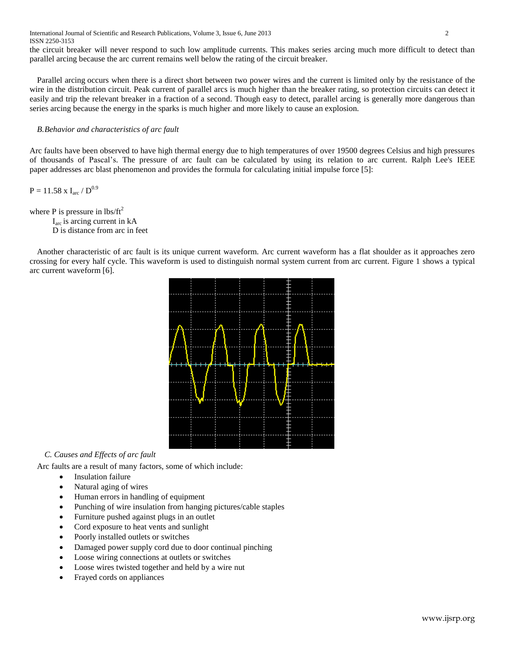International Journal of Scientific and Research Publications, Volume 3, Issue 6, June 2013 2 ISSN 2250-3153

the circuit breaker will never respond to such low amplitude currents. This makes series arcing much more difficult to detect than parallel arcing because the arc current remains well below the rating of the circuit breaker.

Parallel arcing occurs when there is a direct short between two power wires and the current is limited only by the resistance of the wire in the distribution circuit. Peak current of parallel arcs is much higher than the breaker rating, so protection circuits can detect it easily and trip the relevant breaker in a fraction of a second. Though easy to detect, parallel arcing is generally more dangerous than series arcing because the energy in the sparks is much higher and more likely to cause an explosion.

## *B.Behavior and characteristics of arc fault*

Arc faults have been observed to have high thermal energy due to high temperatures of over 19500 degrees Celsius and high pressures of thousands of Pascal's. The pressure of arc fault can be calculated by using its relation to arc current. Ralph Lee's IEEE paper addresses arc blast phenomenon and provides the formula for calculating initial impulse force [5]:

 $P = 11.58$  x I<sub>arc</sub> /  $D^{0.9}$ 

where P is pressure in  $\text{lbs/ft}^2$ 

 Iarc is arcing current in kA D is distance from arc in feet

Another characteristic of arc fault is its unique current waveform. Arc current waveform has a flat shoulder as it approaches zero crossing for every half cycle. This waveform is used to distinguish normal system current from arc current. Figure 1 shows a typical arc current waveform [6].



# *C. Causes and Effects of arc fault*

Arc faults are a result of many factors, some of which include:

- Insulation failure
- Natural aging of wires
- Human errors in handling of equipment
- Punching of wire insulation from hanging pictures/cable staples
- Furniture pushed against plugs in an outlet
- Cord exposure to heat vents and sunlight
- Poorly installed outlets or switches
- Damaged power supply cord due to door continual pinching
- Loose wiring connections at outlets or switches
- Loose wires twisted together and held by a wire nut
- Frayed cords on appliances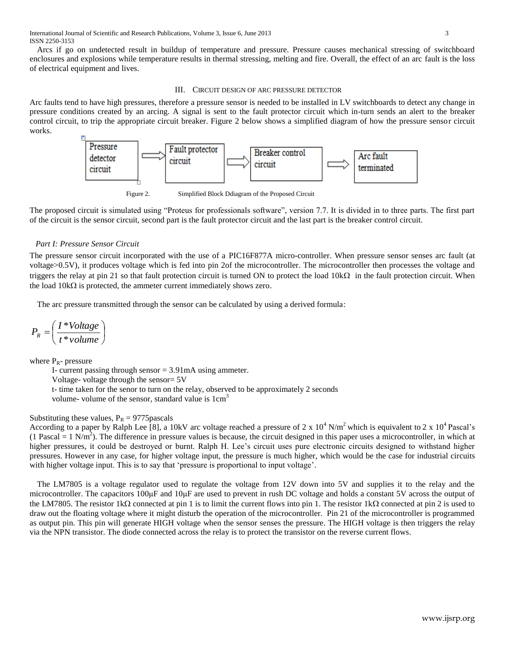Arcs if go on undetected result in buildup of temperature and pressure. Pressure causes mechanical stressing of switchboard enclosures and explosions while temperature results in thermal stressing, melting and fire. Overall, the effect of an arc fault is the loss of electrical equipment and lives.

#### III. CIRCUIT DESIGN OF ARC PRESSURE DETECTOR

Arc faults tend to have high pressures, therefore a pressure sensor is needed to be installed in LV switchboards to detect any change in pressure conditions created by an arcing. A signal is sent to the fault protector circuit which in-turn sends an alert to the breaker control circuit, to trip the appropriate circuit breaker. Figure 2 below shows a simplified diagram of how the pressure sensor circuit works.



Figure 2. Simplified Block Ddiagram of the Proposed Circuit

The proposed circuit is simulated using "Proteus for professionals software", version 7.7. It is divided in to three parts. The first part of the circuit is the sensor circuit, second part is the fault protector circuit and the last part is the breaker control circuit.

## *Part I: Pressure Sensor Circuit*

The pressure sensor circuit incorporated with the use of a PIC16F877A micro-controller. When pressure sensor senses arc fault (at voltage>0.5V), it produces voltage which is fed into pin 2of the microcontroller. The microcontroller then processes the voltage and triggers the relay at pin 21 so that fault protection circuit is turned ON to protect the load  $10k\Omega$  in the fault protection circuit. When the load  $10k\Omega$  is protected, the ammeter current immediately shows zero.

The arc pressure transmitted through the sensor can be calculated by using a derived formula:

$$
P_R = \left(\frac{I * Voltage}{t * volume}\right)
$$

where  $P_R$ - pressure

I- current passing through sensor = 3.91mA using ammeter.

Voltage- voltage through the sensor= 5V

t- time taken for the senor to turn on the relay, observed to be approximately 2 seconds

volume- volume of the sensor, standard value is  $1 \text{cm}^3$ 

## Substituting these values,  $P_R = 9775$  pascals

According to a paper by Ralph Lee [8], a 10kV arc voltage reached a pressure of 2 x  $10^4$  N/m<sup>2</sup> which is equivalent to 2 x  $10^4$  Pascal's  $(1 \text{ Pascal} = 1 \text{ N/m}^2)$ . The difference in pressure values is because, the circuit designed in this paper uses a microcontroller, in which at higher pressures, it could be destroyed or burnt. Ralph H. Lee's circuit uses pure electronic circuits designed to withstand higher pressures. However in any case, for higher voltage input, the pressure is much higher, which would be the case for industrial circuits with higher voltage input. This is to say that 'pressure is proportional to input voltage'.

The LM7805 is a voltage regulator used to regulate the voltage from 12V down into 5V and supplies it to the relay and the microcontroller. The capacitors 100μF and 10μF are used to prevent in rush DC voltage and holds a constant 5V across the output of the LM7805. The resistor 1k $\Omega$  connected at pin 1 is to limit the current flows into pin 1. The resistor 1k $\Omega$  connected at pin 2 is used to draw out the floating voltage where it might disturb the operation of the microcontroller. Pin 21 of the microcontroller is programmed as output pin. This pin will generate HIGH voltage when the sensor senses the pressure. The HIGH voltage is then triggers the relay via the NPN transistor. The diode connected across the relay is to protect the transistor on the reverse current flows.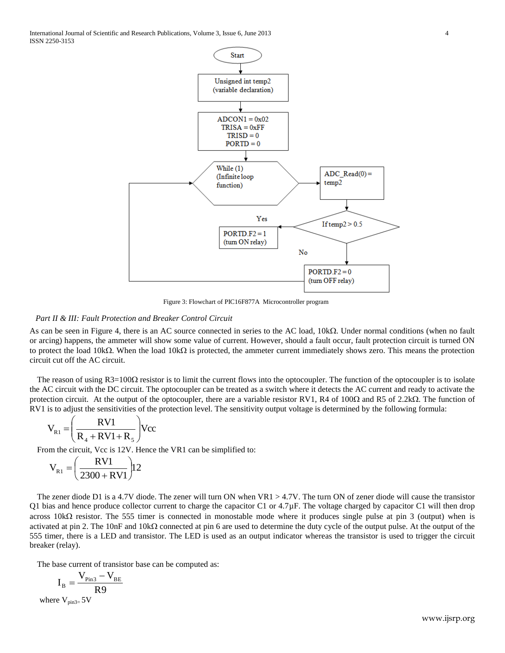International Journal of Scientific and Research Publications, Volume 3, Issue 6, June 2013 4 ISSN 2250-3153



Figure 3: Flowchart of PIC16F877A Microcontroller program

# *Part II & III: Fault Protection and Breaker Control Circuit*

As can be seen in Figure 4, there is an AC source connected in series to the AC load,  $10k\Omega$ . Under normal conditions (when no fault or arcing) happens, the ammeter will show some value of current. However, should a fault occur, fault protection circuit is turned ON to protect the load 10k $\Omega$ . When the load 10k $\Omega$  is protected, the ammeter current immediately shows zero. This means the protection circuit cut off the AC circuit.

The reason of using  $R3=100\Omega$  resistor is to limit the current flows into the optocoupler. The function of the optocoupler is to isolate the AC circuit with the DC circuit. The optocoupler can be treated as a switch where it detects the AC current and ready to activate the protection circuit. At the output of the optocoupler, there are a variable resistor RV1, R4 of 100 $\Omega$  and R5 of 2.2k $\Omega$ . The function of RV1 is to adjust the sensitivities of the protection level. The sensitivity output voltage is determined by the following formula:

$$
V_{R1} = \left(\frac{RV1}{R_4 + RV1 + R_5}\right) Vcc
$$

From the circuit, Vcc is 12V. Hence the VR1 can be simplified to:

$$
V_{R1} = \left(\frac{RV1}{2300 + RV1}\right) 12
$$

The zener diode D1 is a 4.7V diode. The zener will turn ON when  $VR1 > 4.7V$ . The turn ON of zener diode will cause the transistor Q1 bias and hence produce collector current to charge the capacitor C1 or  $4.7 \mu$ F. The voltage charged by capacitor C1 will then drop across 10k $\Omega$  resistor. The 555 timer is connected in monostable mode where it produces single pulse at pin 3 (output) when is activated at pin 2. The 10nF and  $10k\Omega$  connected at pin 6 are used to determine the duty cycle of the output pulse. At the output of the 555 timer, there is a LED and transistor. The LED is used as an output indicator whereas the transistor is used to trigger the circuit breaker (relay).

The base current of transistor base can be computed as:

$$
I_{\rm B}=\frac{V_{\rm Pin3}-V_{\rm BE}}{R9}
$$

where  $V_{pin3=}$  5V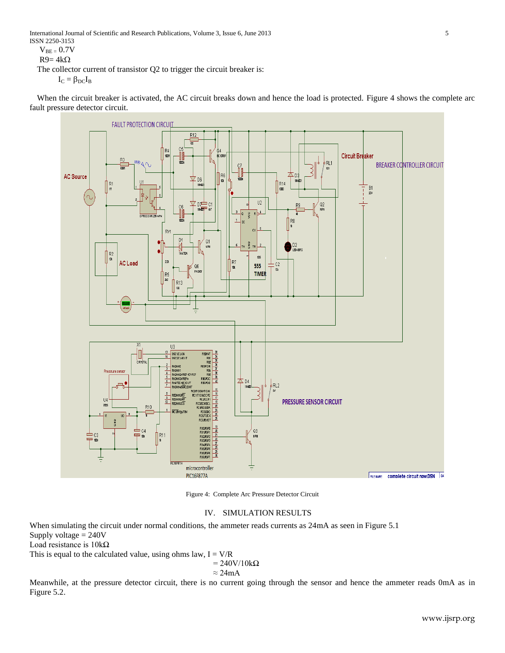International Journal of Scientific and Research Publications, Volume 3, Issue 6, June 2013 5 ISSN 2250-3153

 $V_{BE} = 0.7V$ 

 $R9 = 4k\Omega$ 

The collector current of transistor Q2 to trigger the circuit breaker is:

 $I_C = \beta_{DC}I_B$ 

When the circuit breaker is activated, the AC circuit breaks down and hence the load is protected. Figure 4 shows the complete arc fault pressure detector circuit.



Figure 4: Complete Arc Pressure Detector Circuit

# IV. SIMULATION RESULTS

When simulating the circuit under normal conditions, the ammeter reads currents as 24mA as seen in Figure 5.1 Supply voltage = 240V Load resistance is 10kΩ This is equal to the calculated value, using ohms law,  $I = V/R$  $= 240 \text{V}/10 \text{k}\Omega$ 

$$
= 240 \text{V}/10 \text{k}\Omega
$$

$$
\approx 24 \text{mA}
$$

Meanwhile, at the pressure detector circuit, there is no current going through the sensor and hence the ammeter reads 0mA as in Figure 5.2.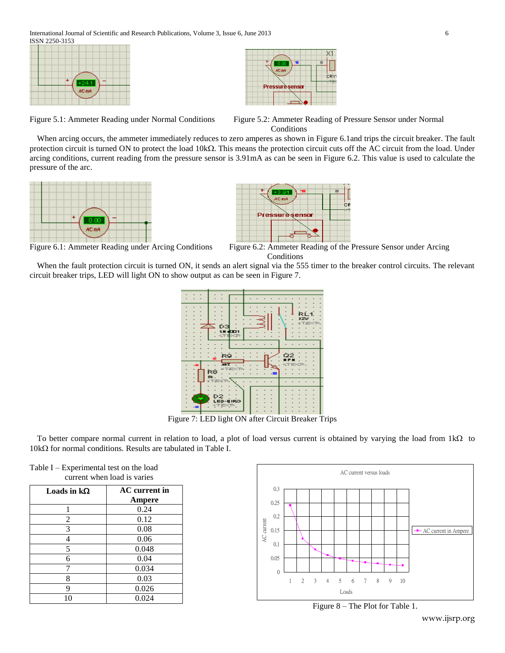

Figure 5.1: Ammeter Reading under Normal Conditions Figure 5.2: Ammeter Reading of Pressure Sensor under Normal **Conditions** 

When arcing occurs, the ammeter immediately reduces to zero amperes as shown in Figure 6.1and trips the circuit breaker. The fault protection circuit is turned ON to protect the load  $10k\Omega$ . This means the protection circuit cuts off the AC circuit from the load. Under arcing conditions, current reading from the pressure sensor is 3.91mA as can be seen in Figure 6.2. This value is used to calculate the pressure of the arc.





Figure 6.1: Ammeter Reading under Arcing Conditions Figure 6.2: Ammeter Reading of the Pressure Sensor under Arcing Conditions

When the fault protection circuit is turned ON, it sends an alert signal via the 555 timer to the breaker control circuits. The relevant circuit breaker trips, LED will light ON to show output as can be seen in Figure 7.



Figure 7: LED light ON after Circuit Breaker Trips

To better compare normal current in relation to load, a plot of load versus current is obtained by varying the load from  $1k\Omega$  to  $10k\Omega$  for normal conditions. Results are tabulated in Table I.

| current when load is varies |                      |
|-----------------------------|----------------------|
| Loads in $k\Omega$          | <b>AC</b> current in |
|                             | Ampere               |
| 1                           | 0.24                 |
| $\overline{2}$              | 0.12                 |
| 3                           | 0.08                 |
| 4                           | 0.06                 |
| 5                           | 0.048                |
| 6                           | 0.04                 |
| 7                           | 0.034                |
| 8                           | 0.03                 |
| 9                           | 0.026                |
| 10                          | 0.024                |

Table I – Experimental test on the load



Figure 8 – The Plot for Table 1.